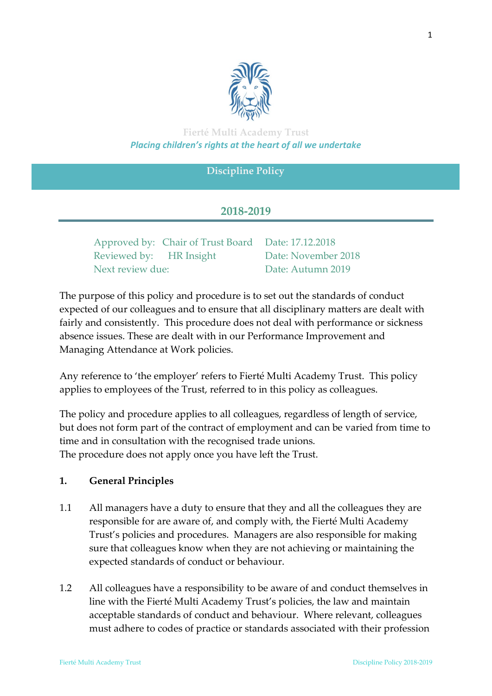

# **Fierté Multi Academy Trust** *Placing children's rights at the heart of all we undertake*

## **Discipline Policy**

### **2018-2019**

|                         | Approved by: Chair of Trust Board Date: 17.12.2018 |                     |
|-------------------------|----------------------------------------------------|---------------------|
| Reviewed by: HR Insight |                                                    | Date: November 2018 |
| Next review due:        |                                                    | Date: Autumn 2019   |

The purpose of this policy and procedure is to set out the standards of conduct expected of our colleagues and to ensure that all disciplinary matters are dealt with fairly and consistently. This procedure does not deal with performance or sickness absence issues. These are dealt with in our Performance Improvement and Managing Attendance at Work policies.

Any reference to 'the employer' refers to Fierté Multi Academy Trust. This policy applies to employees of the Trust, referred to in this policy as colleagues.

The policy and procedure applies to all colleagues, regardless of length of service, but does not form part of the contract of employment and can be varied from time to time and in consultation with the recognised trade unions. The procedure does not apply once you have left the Trust.

### **1. General Principles**

- 1.1 All managers have a duty to ensure that they and all the colleagues they are responsible for are aware of, and comply with, the Fierté Multi Academy Trust's policies and procedures. Managers are also responsible for making sure that colleagues know when they are not achieving or maintaining the expected standards of conduct or behaviour.
- 1.2 All colleagues have a responsibility to be aware of and conduct themselves in line with the Fierté Multi Academy Trust's policies, the law and maintain acceptable standards of conduct and behaviour. Where relevant, colleagues must adhere to codes of practice or standards associated with their profession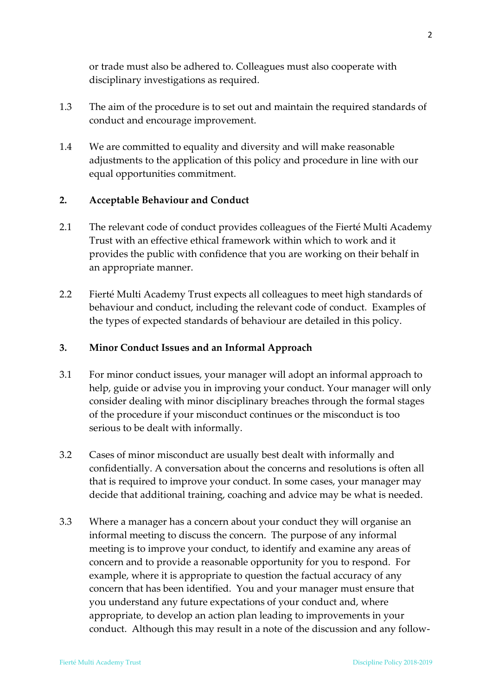or trade must also be adhered to. Colleagues must also cooperate with disciplinary investigations as required.

- 1.3 The aim of the procedure is to set out and maintain the required standards of conduct and encourage improvement.
- 1.4 We are committed to equality and diversity and will make reasonable adjustments to the application of this policy and procedure in line with our equal opportunities commitment.

## **2. Acceptable Behaviour and Conduct**

- 2.1 The relevant code of conduct provides colleagues of the Fierté Multi Academy Trust with an effective ethical framework within which to work and it provides the public with confidence that you are working on their behalf in an appropriate manner.
- 2.2 Fierté Multi Academy Trust expects all colleagues to meet high standards of behaviour and conduct, including the relevant code of conduct. Examples of the types of expected standards of behaviour are detailed in this policy.

### **3. Minor Conduct Issues and an Informal Approach**

- 3.1 For minor conduct issues, your manager will adopt an informal approach to help, guide or advise you in improving your conduct. Your manager will only consider dealing with minor disciplinary breaches through the formal stages of the procedure if your misconduct continues or the misconduct is too serious to be dealt with informally.
- 3.2 Cases of minor misconduct are usually best dealt with informally and confidentially. A conversation about the concerns and resolutions is often all that is required to improve your conduct. In some cases, your manager may decide that additional training, coaching and advice may be what is needed.
- 3.3 Where a manager has a concern about your conduct they will organise an informal meeting to discuss the concern. The purpose of any informal meeting is to improve your conduct, to identify and examine any areas of concern and to provide a reasonable opportunity for you to respond. For example, where it is appropriate to question the factual accuracy of any concern that has been identified. You and your manager must ensure that you understand any future expectations of your conduct and, where appropriate, to develop an action plan leading to improvements in your conduct. Although this may result in a note of the discussion and any follow-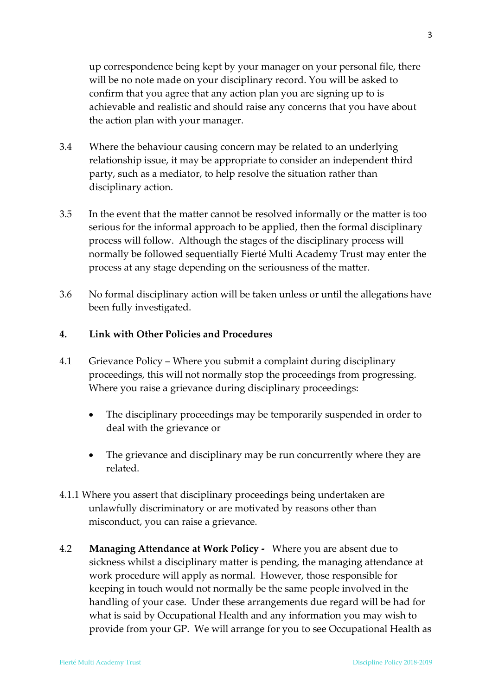up correspondence being kept by your manager on your personal file, there will be no note made on your disciplinary record. You will be asked to confirm that you agree that any action plan you are signing up to is achievable and realistic and should raise any concerns that you have about the action plan with your manager.

- 3.4 Where the behaviour causing concern may be related to an underlying relationship issue, it may be appropriate to consider an independent third party, such as a mediator, to help resolve the situation rather than disciplinary action.
- 3.5 In the event that the matter cannot be resolved informally or the matter is too serious for the informal approach to be applied, then the formal disciplinary process will follow. Although the stages of the disciplinary process will normally be followed sequentially Fierté Multi Academy Trust may enter the process at any stage depending on the seriousness of the matter.
- 3.6 No formal disciplinary action will be taken unless or until the allegations have been fully investigated.

#### **4. Link with Other Policies and Procedures**

- 4.1 Grievance Policy Where you submit a complaint during disciplinary proceedings, this will not normally stop the proceedings from progressing. Where you raise a grievance during disciplinary proceedings:
	- The disciplinary proceedings may be temporarily suspended in order to deal with the grievance or
	- The grievance and disciplinary may be run concurrently where they are related.
- 4.1.1 Where you assert that disciplinary proceedings being undertaken are unlawfully discriminatory or are motivated by reasons other than misconduct, you can raise a grievance.
- 4.2 **Managing Attendance at Work Policy** Where you are absent due to sickness whilst a disciplinary matter is pending, the managing attendance at work procedure will apply as normal. However, those responsible for keeping in touch would not normally be the same people involved in the handling of your case. Under these arrangements due regard will be had for what is said by Occupational Health and any information you may wish to provide from your GP. We will arrange for you to see Occupational Health as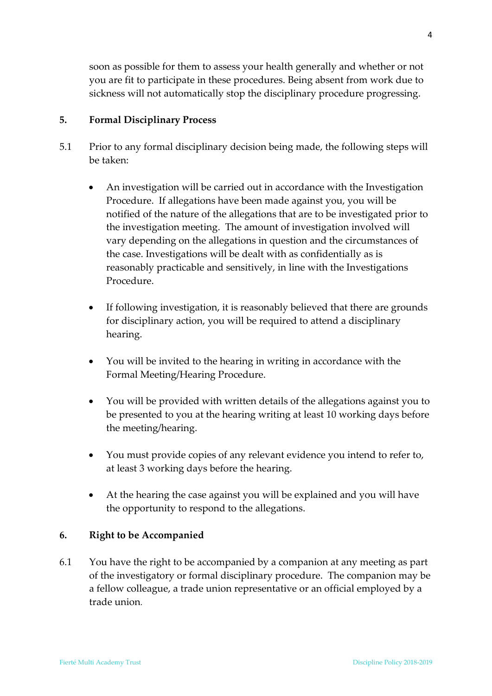soon as possible for them to assess your health generally and whether or not you are fit to participate in these procedures. Being absent from work due to sickness will not automatically stop the disciplinary procedure progressing.

### **5. Formal Disciplinary Process**

- 5.1 Prior to any formal disciplinary decision being made, the following steps will be taken:
	- An investigation will be carried out in accordance with the Investigation Procedure. If allegations have been made against you, you will be notified of the nature of the allegations that are to be investigated prior to the investigation meeting. The amount of investigation involved will vary depending on the allegations in question and the circumstances of the case. Investigations will be dealt with as confidentially as is reasonably practicable and sensitively, in line with the Investigations Procedure.
	- If following investigation, it is reasonably believed that there are grounds for disciplinary action, you will be required to attend a disciplinary hearing.
	- You will be invited to the hearing in writing in accordance with the Formal Meeting/Hearing Procedure.
	- You will be provided with written details of the allegations against you to be presented to you at the hearing writing at least 10 working days before the meeting/hearing.
	- You must provide copies of any relevant evidence you intend to refer to, at least 3 working days before the hearing.
	- At the hearing the case against you will be explained and you will have the opportunity to respond to the allegations.

### **6. Right to be Accompanied**

6.1 You have the right to be accompanied by a companion at any meeting as part of the investigatory or formal disciplinary procedure. The companion may be a fellow colleague, a trade union representative or an official employed by a trade union.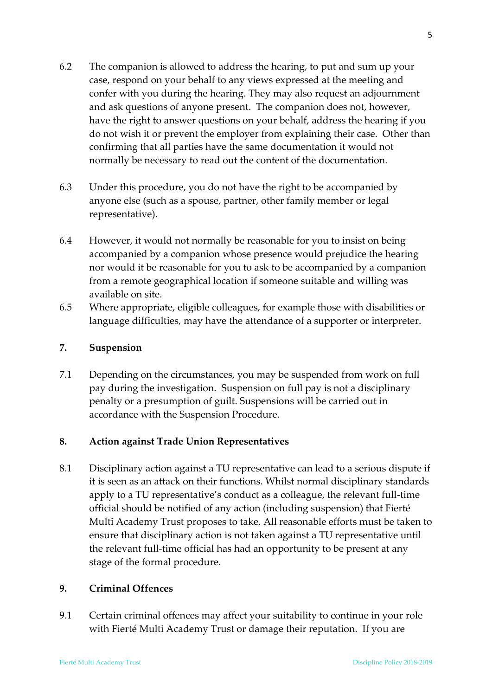- 6.2 The companion is allowed to address the hearing, to put and sum up your case, respond on your behalf to any views expressed at the meeting and confer with you during the hearing. They may also request an adjournment and ask questions of anyone present. The companion does not, however, have the right to answer questions on your behalf, address the hearing if you do not wish it or prevent the employer from explaining their case. Other than confirming that all parties have the same documentation it would not normally be necessary to read out the content of the documentation.
- 6.3 Under this procedure, you do not have the right to be accompanied by anyone else (such as a spouse, partner, other family member or legal representative).
- 6.4 However, it would not normally be reasonable for you to insist on being accompanied by a companion whose presence would prejudice the hearing nor would it be reasonable for you to ask to be accompanied by a companion from a remote geographical location if someone suitable and willing was available on site.
- 6.5 Where appropriate, eligible colleagues, for example those with disabilities or language difficulties, may have the attendance of a supporter or interpreter.

#### **7. Suspension**

7.1 Depending on the circumstances, you may be suspended from work on full pay during the investigation. Suspension on full pay is not a disciplinary penalty or a presumption of guilt. Suspensions will be carried out in accordance with the Suspension Procedure.

### **8. Action against Trade Union Representatives**

8.1 Disciplinary action against a TU representative can lead to a serious dispute if it is seen as an attack on their functions. Whilst normal disciplinary standards apply to a TU representative's conduct as a colleague, the relevant full-time official should be notified of any action (including suspension) that Fierté Multi Academy Trust proposes to take. All reasonable efforts must be taken to ensure that disciplinary action is not taken against a TU representative until the relevant full-time official has had an opportunity to be present at any stage of the formal procedure.

### **9. Criminal Offences**

9.1 Certain criminal offences may affect your suitability to continue in your role with Fierté Multi Academy Trust or damage their reputation. If you are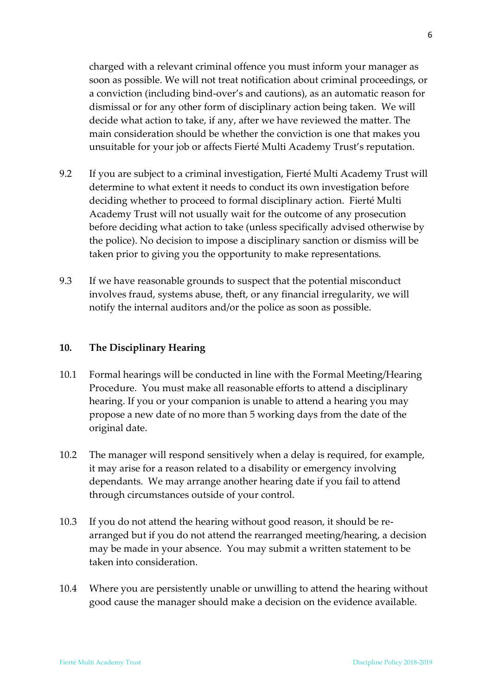charged with a relevant criminal offence you must inform your manager as soon as possible. We will not treat notification about criminal proceedings, or a conviction (including bind-over's and cautions), as an automatic reason for dismissal or for any other form of disciplinary action being taken. We will decide what action to take, if any, after we have reviewed the matter. The main consideration should be whether the conviction is one that makes you unsuitable for your job or affects Fierté Multi Academy Trust's reputation.

- 9.2 If you are subject to a criminal investigation, Fierté Multi Academy Trust will determine to what extent it needs to conduct its own investigation before deciding whether to proceed to formal disciplinary action. Fierté Multi Academy Trust will not usually wait for the outcome of any prosecution before deciding what action to take (unless specifically advised otherwise by the police). No decision to impose a disciplinary sanction or dismiss will be taken prior to giving you the opportunity to make representations.
- 9.3 If we have reasonable grounds to suspect that the potential misconduct involves fraud, systems abuse, theft, or any financial irregularity, we will notify the internal auditors and/or the police as soon as possible.

#### **10. The Disciplinary Hearing**

- 10.1 Formal hearings will be conducted in line with the Formal Meeting/Hearing Procedure. You must make all reasonable efforts to attend a disciplinary hearing. If you or your companion is unable to attend a hearing you may propose a new date of no more than 5 working days from the date of the original date.
- 10.2 The manager will respond sensitively when a delay is required, for example, it may arise for a reason related to a disability or emergency involving dependants. We may arrange another hearing date if you fail to attend through circumstances outside of your control.
- 10.3 If you do not attend the hearing without good reason, it should be rearranged but if you do not attend the rearranged meeting/hearing, a decision may be made in your absence. You may submit a written statement to be taken into consideration.
- 10.4 Where you are persistently unable or unwilling to attend the hearing without good cause the manager should make a decision on the evidence available.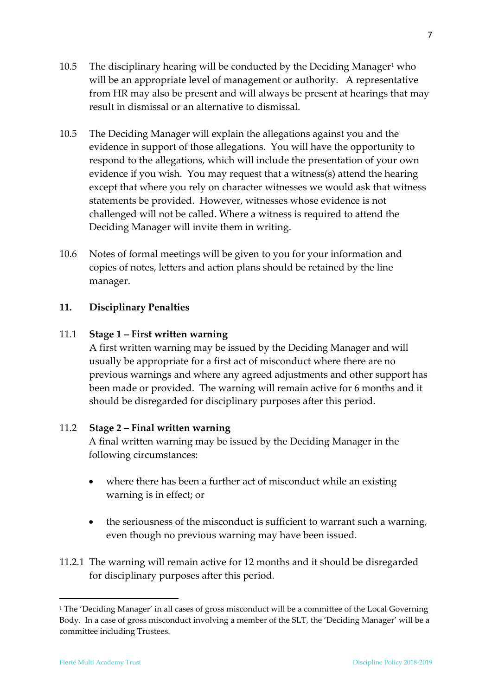- 10.5 The disciplinary hearing will be conducted by the Deciding Manager<sup>1</sup> who will be an appropriate level of management or authority. A representative from HR may also be present and will always be present at hearings that may result in dismissal or an alternative to dismissal.
- 10.5 The Deciding Manager will explain the allegations against you and the evidence in support of those allegations. You will have the opportunity to respond to the allegations, which will include the presentation of your own evidence if you wish. You may request that a witness(s) attend the hearing except that where you rely on character witnesses we would ask that witness statements be provided. However, witnesses whose evidence is not challenged will not be called. Where a witness is required to attend the Deciding Manager will invite them in writing.
- 10.6 Notes of formal meetings will be given to you for your information and copies of notes, letters and action plans should be retained by the line manager.

## **11. Disciplinary Penalties**

### 11.1 **Stage 1 – First written warning**

A first written warning may be issued by the Deciding Manager and will usually be appropriate for a first act of misconduct where there are no previous warnings and where any agreed adjustments and other support has been made or provided. The warning will remain active for 6 months and it should be disregarded for disciplinary purposes after this period.

### 11.2 **Stage 2 – Final written warning**

A final written warning may be issued by the Deciding Manager in the following circumstances:

- where there has been a further act of misconduct while an existing warning is in effect; or
- the seriousness of the misconduct is sufficient to warrant such a warning, even though no previous warning may have been issued.
- 11.2.1 The warning will remain active for 12 months and it should be disregarded for disciplinary purposes after this period.

 $\overline{a}$ 

<sup>&</sup>lt;sup>1</sup> The 'Deciding Manager' in all cases of gross misconduct will be a committee of the Local Governing Body. In a case of gross misconduct involving a member of the SLT, the 'Deciding Manager' will be a committee including Trustees.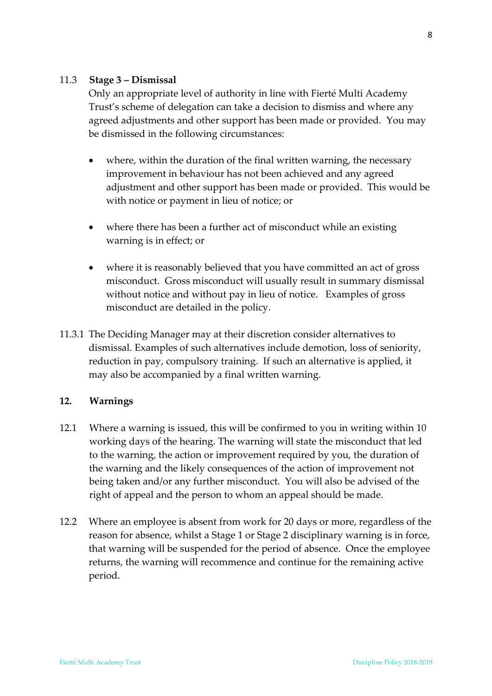### 11.3 **Stage 3 – Dismissal**

Only an appropriate level of authority in line with Fierté Multi Academy Trust's scheme of delegation can take a decision to dismiss and where any agreed adjustments and other support has been made or provided. You may be dismissed in the following circumstances:

- where, within the duration of the final written warning, the necessary improvement in behaviour has not been achieved and any agreed adjustment and other support has been made or provided. This would be with notice or payment in lieu of notice; or
- where there has been a further act of misconduct while an existing warning is in effect; or
- where it is reasonably believed that you have committed an act of gross misconduct. Gross misconduct will usually result in summary dismissal without notice and without pay in lieu of notice. Examples of gross misconduct are detailed in the policy.
- 11.3.1 The Deciding Manager may at their discretion consider alternatives to dismissal. Examples of such alternatives include demotion, loss of seniority, reduction in pay, compulsory training. If such an alternative is applied, it may also be accompanied by a final written warning.

#### **12. Warnings**

- 12.1 Where a warning is issued, this will be confirmed to you in writing within 10 working days of the hearing. The warning will state the misconduct that led to the warning, the action or improvement required by you, the duration of the warning and the likely consequences of the action of improvement not being taken and/or any further misconduct. You will also be advised of the right of appeal and the person to whom an appeal should be made.
- 12.2 Where an employee is absent from work for 20 days or more, regardless of the reason for absence, whilst a Stage 1 or Stage 2 disciplinary warning is in force, that warning will be suspended for the period of absence. Once the employee returns, the warning will recommence and continue for the remaining active period.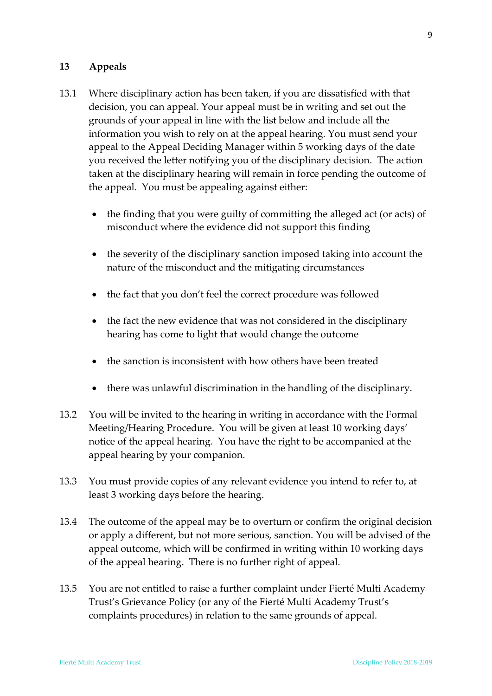### **13 Appeals**

- 13.1 Where disciplinary action has been taken, if you are dissatisfied with that decision, you can appeal. Your appeal must be in writing and set out the grounds of your appeal in line with the list below and include all the information you wish to rely on at the appeal hearing. You must send your appeal to the Appeal Deciding Manager within 5 working days of the date you received the letter notifying you of the disciplinary decision. The action taken at the disciplinary hearing will remain in force pending the outcome of the appeal. You must be appealing against either:
	- the finding that you were guilty of committing the alleged act (or acts) of misconduct where the evidence did not support this finding
	- the severity of the disciplinary sanction imposed taking into account the nature of the misconduct and the mitigating circumstances
	- the fact that you don't feel the correct procedure was followed
	- the fact the new evidence that was not considered in the disciplinary hearing has come to light that would change the outcome
	- the sanction is inconsistent with how others have been treated
	- there was unlawful discrimination in the handling of the disciplinary.
- 13.2 You will be invited to the hearing in writing in accordance with the Formal Meeting/Hearing Procedure. You will be given at least 10 working days' notice of the appeal hearing. You have the right to be accompanied at the appeal hearing by your companion.
- 13.3 You must provide copies of any relevant evidence you intend to refer to, at least 3 working days before the hearing.
- 13.4 The outcome of the appeal may be to overturn or confirm the original decision or apply a different, but not more serious, sanction. You will be advised of the appeal outcome, which will be confirmed in writing within 10 working days of the appeal hearing. There is no further right of appeal.
- 13.5 You are not entitled to raise a further complaint under Fierté Multi Academy Trust's Grievance Policy (or any of the Fierté Multi Academy Trust's complaints procedures) in relation to the same grounds of appeal.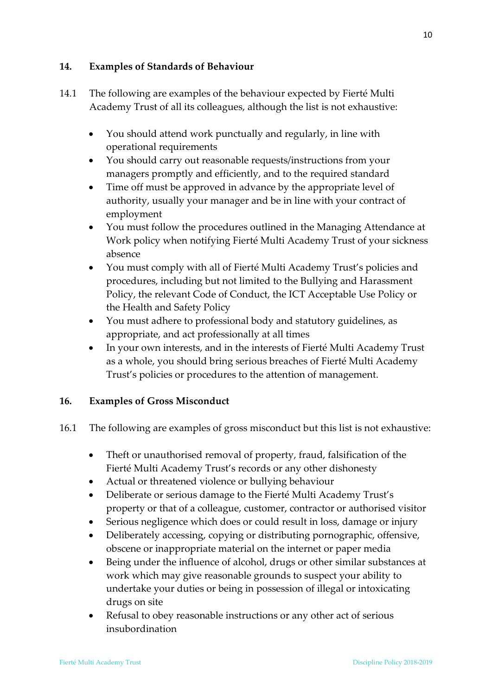## **14. Examples of Standards of Behaviour**

- 14.1 The following are examples of the behaviour expected by Fierté Multi Academy Trust of all its colleagues, although the list is not exhaustive:
	- You should attend work punctually and regularly, in line with operational requirements
	- You should carry out reasonable requests/instructions from your managers promptly and efficiently, and to the required standard
	- Time off must be approved in advance by the appropriate level of authority, usually your manager and be in line with your contract of employment
	- You must follow the procedures outlined in the Managing Attendance at Work policy when notifying Fierté Multi Academy Trust of your sickness absence
	- You must comply with all of Fierté Multi Academy Trust's policies and procedures, including but not limited to the Bullying and Harassment Policy, the relevant Code of Conduct, the ICT Acceptable Use Policy or the Health and Safety Policy
	- You must adhere to professional body and statutory guidelines, as appropriate, and act professionally at all times
	- In your own interests, and in the interests of Fierté Multi Academy Trust as a whole, you should bring serious breaches of Fierté Multi Academy Trust's policies or procedures to the attention of management.

# **16. Examples of Gross Misconduct**

- 16.1 The following are examples of gross misconduct but this list is not exhaustive:
	- Theft or unauthorised removal of property, fraud, falsification of the Fierté Multi Academy Trust's records or any other dishonesty
	- Actual or threatened violence or bullying behaviour
	- Deliberate or serious damage to the Fierté Multi Academy Trust's property or that of a colleague, customer, contractor or authorised visitor
	- Serious negligence which does or could result in loss, damage or injury
	- Deliberately accessing, copying or distributing pornographic, offensive, obscene or inappropriate material on the internet or paper media
	- Being under the influence of alcohol, drugs or other similar substances at work which may give reasonable grounds to suspect your ability to undertake your duties or being in possession of illegal or intoxicating drugs on site
	- Refusal to obey reasonable instructions or any other act of serious insubordination